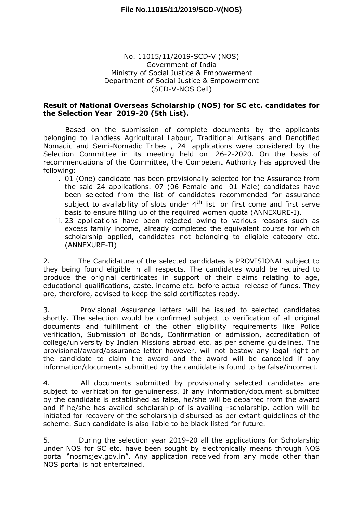#### No. 11015/11/2019-SCD-V (NOS) Government of India Ministry of Social Justice & Empowerment Department of Social Justice & Empowerment (SCD-V-NOS Cell)

### **Result of National Overseas Scholarship (NOS) for SC etc. candidates for the Selection Year 2019-20 (5th List).**

Based on the submission of complete documents by the applicants belonging to Landless Agricultural Labour, Traditional Artisans and Denotified Nomadic and Semi-Nomadic Tribes , 24 applications were considered by the Selection Committee in its meeting held on 26-2-2020. On the basis of recommendations of the Committee, the Competent Authority has approved the following:

- i. 01 (One) candidate has been provisionally selected for the Assurance from the said 24 applications. 07 (06 Female and 01 Male) candidates have been selected from the list of candidates recommended for assurance subject to availability of slots under 4<sup>th</sup> list on first come and first serve basis to ensure filling up of the required women quota (ANNEXURE-I).
- ii. 23 applications have been rejected owing to various reasons such as excess family income, already completed the equivalent course for which scholarship applied, candidates not belonging to eligible category etc. (ANNEXURE-II)

2. The Candidature of the selected candidates is PROVISIONAL subject to they being found eligible in all respects. The candidates would be required to produce the original certificates in support of their claims relating to age, educational qualifications, caste, income etc. before actual release of funds. They are, therefore, advised to keep the said certificates ready.

3. Provisional Assurance letters will be issued to selected candidates shortly. The selection would be confirmed subject to verification of all original documents and fulfillment of the other eligibility requirements like Police verification, Submission of Bonds, Confirmation of admission, accreditation of college/university by Indian Missions abroad etc. as per scheme guidelines. The provisional/award/assurance letter however, will not bestow any legal right on the candidate to claim the award and the award will be cancelled if any information/documents submitted by the candidate is found to be false/incorrect.

4. All documents submitted by provisionally selected candidates are subject to verification for genuineness. If any information/document submitted by the candidate is established as false, he/she will be debarred from the award and if he/she has availed scholarship of is availing -scholarship, action will be initiated for recovery of the scholarship disbursed as per extant guidelines of the scheme. Such candidate is also liable to be black listed for future.

5. During the selection year 2019-20 all the applications for Scholarship under NOS for SC etc. have been sought by electronically means through NOS portal "nosmsjev.gov.in". Any application received from any mode other than NOS portal is not entertained.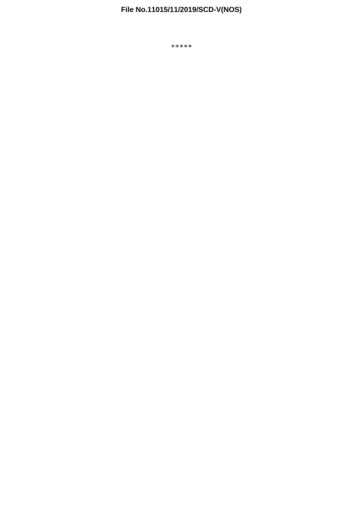\*\*\*\*\*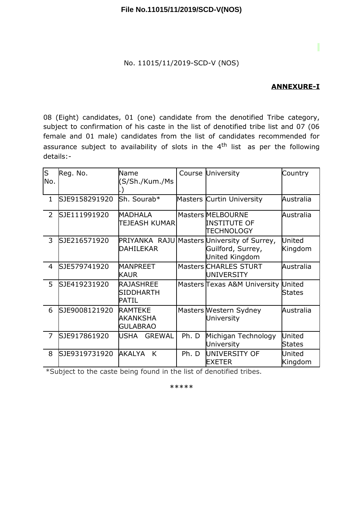### No. 11015/11/2019-SCD-V (NOS)

### **ANNEXURE-I**

08 (Eight) candidates, 01 (one) candidate from the denotified Tribe category, subject to confirmation of his caste in the list of denotified tribe list and 07 (06 female and 01 male) candidates from the list of candidates recommended for assurance subject to availability of slots in the 4<sup>th</sup> list as per the following details:-

| lS.<br>No.     | Reg. No.      | Name<br>S/Sh./Kum./Ms)                        |       | Course University                                                    | Country           |
|----------------|---------------|-----------------------------------------------|-------|----------------------------------------------------------------------|-------------------|
| $\mathbf{1}$   | SJE9158291920 | Sh. Sourab*                                   |       | Masters Curtin University                                            | Australia         |
| $\mathcal{P}$  | SJE111991920  | <b>MADHALA</b><br>TEJEASH KUMAR               |       | Masters MELBOURNE<br>INSTITUTE OF<br><b>TECHNOLOGY</b>               | Australia         |
| 3              | SJE216571920  | PRIYANKA RAJU <br><b>DAHILEKAR</b>            |       | Masters University of Surrey,<br>Guilford, Surrey,<br>United Kingdom | United<br>Kingdom |
| $\overline{4}$ | SJE579741920  | <b>MANPREET</b><br><b>KAUR</b>                |       | Masters CHARLES STURT<br>UNIVERSITY                                  | Australia         |
| 5              | SJE419231920  | <b>RAJASHREE</b><br>SIDDHARTH<br><b>PATIL</b> |       | Masters Texas A&M University                                         | United<br>States  |
| 6              | SJE9008121920 | <b>RAMTEKE</b><br>AKANKSHA<br><b>GULABRAO</b> |       | Masters Mestern Sydney<br>University                                 | Australia         |
| $\overline{7}$ | SJE917861920  | <b>GREWAL</b><br>USHA                         | Ph. D | Michigan Technology<br>University                                    | United<br>States  |
| 8              | SJE9319731920 | <b>AKALYA</b><br>K                            | Ph. D | UNIVERSITY OF<br><b>EXETER</b>                                       | United<br>Kingdom |

\*Subject to the caste being found in the list of denotified tribes.

#### **\*\*\*\*\***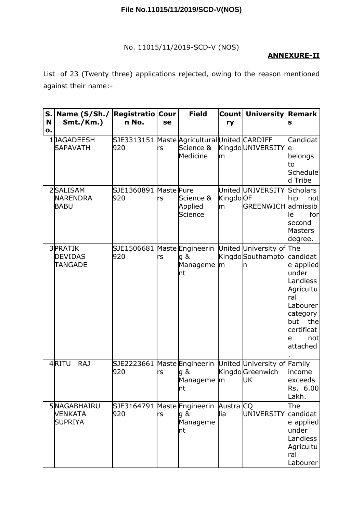### No. 11015/11/2019-SCD-V (NOS)

### **ANNEXURE-II**

List of 23 (Twenty three) applications rejected, owing to the reason mentioned against their name:-

| S.<br>N<br>ο. | Name (S/Sh./<br><b>Smt./Km.)</b>     | Registratio Cour<br>n No.                           | se  | <b>Field</b>                                  | ry            | <b>Count University Remark</b>                        |                                                                                                                                                      |
|---------------|--------------------------------------|-----------------------------------------------------|-----|-----------------------------------------------|---------------|-------------------------------------------------------|------------------------------------------------------------------------------------------------------------------------------------------------------|
|               | 1JAGADEESH<br>SAPAVATH               | SJE3313151 Maste Agricultural United CARDIFF<br>920 | rs  | Science &<br>Medicine                         | m             | KingdoUNIVERSITY e                                    | Candidat  <br>belongs<br>to<br>$\sf{S}$ chedule $\sf{I}$<br>d Tribe                                                                                  |
|               | 2SALISAM<br>NARENDRA<br>BABU         | SJE1360891 Maste Pure<br>920                        | Irs | Science &<br>Applied<br>Science               | KingdoOF<br>m | United UNIVERSITY Scholars<br>GREENWICH admissib      | hip<br>notl<br>forl<br>lle<br>lsecond<br>Masters<br>degree.                                                                                          |
|               | 3PRATIK<br><b>DEVIDAS</b><br>TANGADE | SJE1506681 Maste Engineerin<br>920                  | Irs | g &<br>Manageme<br>ht                         | m             | United University of The<br>KingdoSouthampto          | candidat<br>$ e\>$ applied<br>lunder<br>Landless<br>Agricultu<br>lral<br>Labourer <br>category<br>thel<br>but<br>certificat<br>notl<br>e<br>attached |
|               | 4RITU<br>RAJ                         | SJE2223661<br>920                                   | rs  | Maste Engineerin<br>g &<br>Manageme  m<br>Int |               | United University of Family<br>Kingdo Greenwich<br>UK | lincome<br>exceeds<br> Rs. 6.00 <br>Lakh.                                                                                                            |
|               | 5NAGABHAIRU<br>NENKATA<br>SUPRIYA    | SJE3164791 Maste Engineerin Austra CQ<br>920        | rs  | g &<br>Manageme<br>Int                        | llia          | <b>UNIVERSITY</b>                                     | lThe<br>candidat<br>$ e\>$ applied<br>lunder<br>Landless<br>  Agricultu<br>lral<br> Labourer                                                         |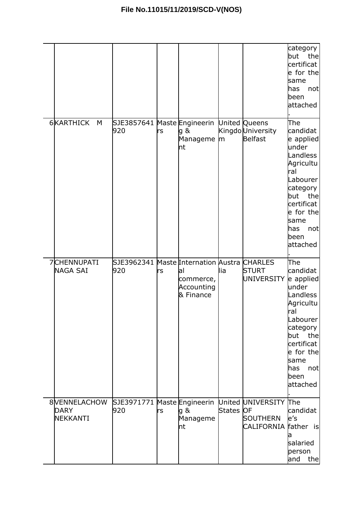|                                  |                                    |     |                                                                        |               |                                                           | category<br>thel<br>but<br> certificat<br>le for thel<br>lsame<br>$\mathsf{has}$<br>not<br>been<br>attached                                                                                  |
|----------------------------------|------------------------------------|-----|------------------------------------------------------------------------|---------------|-----------------------------------------------------------|----------------------------------------------------------------------------------------------------------------------------------------------------------------------------------------------|
| 6KARTHICK<br>M                   | SJE3857641 Maste Engineerin<br>920 | Irs | g &<br>Manageme<br>ht                                                  | $\mathsf{Im}$ | United Queens<br>KingdoUniversity<br><b>Belfast</b>       | lThe<br>candidat<br>$ e\>$ applied<br>lunder<br>Landless<br>Agricultu<br>lral<br>Labourer<br>category<br>the<br>but<br>certificat<br>le for thel<br>same<br>notl<br>has<br>lbeen<br>attached |
| 7CHENNUPATI<br>NAGA SAI          | SJE3962341<br>920                  | rs  | Maste Internation Austra<br>al<br>commerce,<br>Accounting<br>& Finance | llia          | <b>CHARLES</b><br>STURT<br>UNIVERSITY                     | The<br>candidat<br>e applied<br>lunder<br>Landless<br>Agricultu<br>lral<br>Labourer<br>category<br>but thel<br>certificat<br>e for thel<br>same<br>has<br>notl<br>been<br>lattached          |
| 8NENNELACHOW<br>DARY<br>NEKKANTI | SJE3971771<br>920                  | rs  | Maste Engineerin<br>g &<br>Manageme<br>Int                             | States OF     | United UNIVERSITY The<br>SOUTHERN<br>CALIFORNIA father is | candidat<br>le's<br>salaried<br>person<br>the<br>and                                                                                                                                         |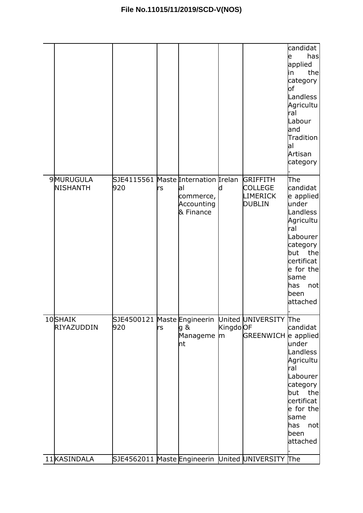|                                      |                                                                                                               |     |                                            |                           |                                                                | candidat<br>has<br>le<br>applied<br>the<br>lin<br>category<br>lof<br>Landless<br>Agricultu<br>ral<br>Labour<br>and<br>$\Gamma$ radition<br>lal<br>Artisan<br>category                                 |
|--------------------------------------|---------------------------------------------------------------------------------------------------------------|-----|--------------------------------------------|---------------------------|----------------------------------------------------------------|-------------------------------------------------------------------------------------------------------------------------------------------------------------------------------------------------------|
| 9MURUGULA<br>NISHANTH                | SJE4115561 Maste Internation Irelan<br>920                                                                    | Irs | al<br>commerce,<br>Accounting<br>& Finance | ld                        | <b>GRIFFITH</b><br><b>COLLEGE</b><br>LIMERICK<br><b>DUBLIN</b> | ∣The<br>candidat<br>$ e\>$ applied<br>lunder<br>Landless<br>Agricultu<br>ral<br>Labourer<br>category<br>but<br>thel<br>certificat<br>e for thel<br>lsame<br>$\mathsf{has}$<br>not<br>been<br>attached |
| 10SHAIK<br>RIYAZUDDIN<br>11KASINDALA | SJE4500121 Maste Engineerin United UNIVERSITY The<br>920<br>SJE4562011 Maste Engineerin United UNIVERSITY The | rs  | g &<br>Manageme<br>ht                      | KingdoOF<br>$\mathsf{Im}$ | GREENWICH e applied                                            | candidat<br>lunder<br>Landless<br>Agricultu<br>lral<br>Labourer<br>category<br>the<br>but<br>certificat<br>e for the<br>same<br>$\mathsf{has}$<br>not<br>been<br>attached                             |
|                                      |                                                                                                               |     |                                            |                           |                                                                |                                                                                                                                                                                                       |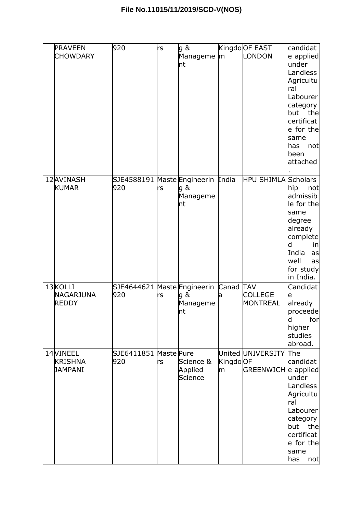| PRAVEEN<br><b>CHOWDARY</b>                 | 920                                      | Irs | g &<br>Manageme<br>Int                    | m             | KingdoOF EAST<br>LONDON                  | candidat<br>$ $ e applied $ $<br>lunder<br>Landless<br>Agricultu<br>lral<br>Labourer<br>category<br>but thel<br>certificat<br>le for thel<br>same<br>has<br>not<br>been<br>lattached |
|--------------------------------------------|------------------------------------------|-----|-------------------------------------------|---------------|------------------------------------------|--------------------------------------------------------------------------------------------------------------------------------------------------------------------------------------|
| 12AVINASH<br><b>I</b> KUMAR                | SJE4588191 Maste Engineerin India<br>920 | rs  | g &<br>Manageme<br>Int                    |               | <b>HPU SHIMLA Scholars</b>               | hip<br>not<br>admissib<br>lle for thel<br>same<br>degree<br>already<br>complete<br>d<br>in<br>India<br>as<br>lwell<br>as<br>for study<br>in India.                                   |
| 13KOLLI<br>NAGARJUNA<br>REDDY              | SJE4644621<br>920                        | Irs | Maste Engineerin<br>g &<br>Manageme<br>ht | Canad<br>a    | <b>TAV</b><br><b>COLLEGE</b><br>MONTREAL | Candidat<br>e<br>already<br> proceede <br>for<br>d<br>higher<br>studies<br>labroad.                                                                                                  |
| 14 <sub>MINEEL</sub><br>KRISHNA<br>DAMPANI | SJE6411851 Maste Pure<br>920             | rs  | Science &<br>Applied<br>Science           | KingdoOF<br>m | United UNIVERSITY<br>GREENWICH e applied | <b>The</b><br>candidat<br>under<br>Landless<br>Agricultu<br> ral<br>Labourer<br>category<br>but<br>the<br>certificat<br>e for the<br>same<br>has<br>notl                             |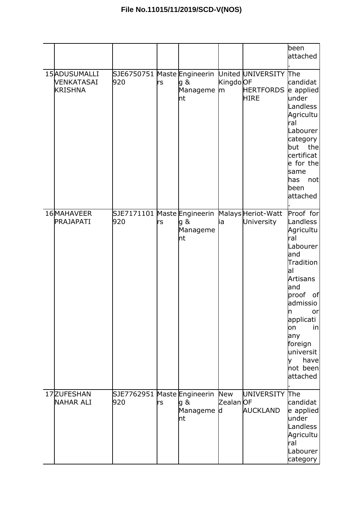|                                              |                                    |    |                                              |                  |                                                          | been<br>attached                                                                                                                                                                                                                                |
|----------------------------------------------|------------------------------------|----|----------------------------------------------|------------------|----------------------------------------------------------|-------------------------------------------------------------------------------------------------------------------------------------------------------------------------------------------------------------------------------------------------|
| 15ADUSUMALLI<br>NENKATASAI<br><b>KRISHNA</b> | SJE6750751 Maste Engineerin<br>920 | rs | g &<br>Manageme<br>Int                       | KingdoOF<br>m    | United UNIVERSITY The<br><b>HERTFORDS</b><br><b>HIRE</b> | candidat<br>e applied<br>lunder<br>Landless<br>Agricultu<br>lral<br>Labourer<br>category<br>thel<br>but<br>certificat<br>le for thel<br><b>same</b><br>$\mathsf{has}$<br>notl<br>been<br>attached                                               |
| 16MAHAVEER<br>PRAJAPATI                      | SJE7171101 Maste Engineerin<br>920 | rs | g &<br>Manageme<br>Int                       | İа               | Malays Heriot-Watt<br>University                         | Proof for<br>Landless<br>Agricultu<br>lral<br>Labourer<br>land<br>$\Gamma$ radition<br>lal<br>Artisans<br>land<br>proof<br>of<br>admissio<br>orl<br>m<br>applicati<br>lon<br>inl<br>any<br>foreign<br>universit<br>have<br>not been<br>attached |
| 17ZUFESHAN<br>NAHAR ALI                      | SJE7762951<br>920                  | rs | Maste Engineerin<br>g &<br>Manageme d<br>Int | New<br>Zealan OF | UNIVERSITY The<br>AUCKLAND                               | candidat<br>$ e\>$ applied<br>lunder<br>Landless<br>Agricultu<br>lral<br> Labourer <br> category                                                                                                                                                |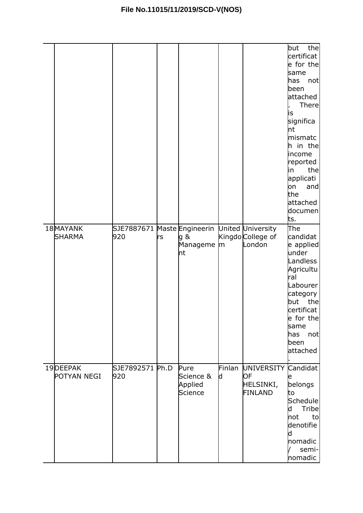| 18MAYANK                | SJE7887671        |      | Maste Engineerin United University      |             |                                                 | but<br>thel<br>certificat<br>$\sf e$ for the $\sf  $<br>same<br>has<br>notl<br>been<br>attached<br>There<br>lis<br>significa<br>ht<br>mismatc<br>$\mathsf{\mathsf{h}}$ in the<br>income<br>reported<br>the<br>lin<br>applicati<br>and<br>lon<br>the<br>attached<br>documen<br>ts.<br>∏he |
|-------------------------|-------------------|------|-----------------------------------------|-------------|-------------------------------------------------|------------------------------------------------------------------------------------------------------------------------------------------------------------------------------------------------------------------------------------------------------------------------------------------|
| SHARMA                  | 920               | rs   | g &<br>Manageme  m<br>ht                |             | Kingdo College of<br>London                     | candidat<br>$ $ e applied $ $<br>lunder<br>Landless<br>Agricultu<br>ral<br>Labourer<br>category<br>the<br>but<br>certificat<br>e for the<br>same<br>has<br>not<br>been<br>attached                                                                                                       |
| 19DEEPAK<br>POTYAN NEGI | SJE7892571<br>920 | Ph.D | Pure<br>Science &<br>Applied<br>Science | Finlan<br>d | UNIVERSITY<br>ЮF<br>HELSINKI,<br><b>FINLAND</b> | Candidat<br>belongs<br>Įtо<br>Schedule<br>Tribe<br>d<br> not<br>to<br>denotifie<br>nomadic<br>semi-<br>nomadic                                                                                                                                                                           |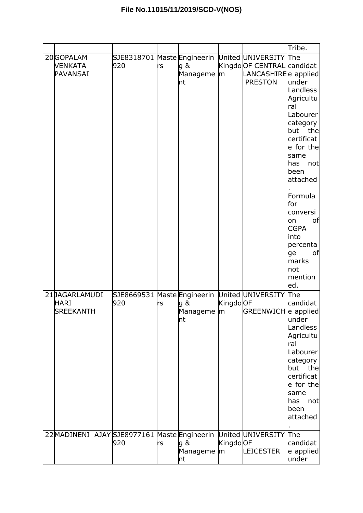|                                                                    |            |    |                  |               |                                                   | Tribe.           |
|--------------------------------------------------------------------|------------|----|------------------|---------------|---------------------------------------------------|------------------|
| 20GOPALAM                                                          |            |    |                  |               | SJE8318701 Maste Engineerin United UNIVERSITY The |                  |
| VENKATA                                                            | 920        | rs | g &              |               | KingdoOF CENTRAL candidat                         |                  |
| PAVANSAI                                                           |            |    | Manageme  m      |               | LANCASHIRE <sub>e</sub> applied                   |                  |
|                                                                    |            |    | ht               |               | <b>PRESTON</b>                                    | under            |
|                                                                    |            |    |                  |               |                                                   | Landless         |
|                                                                    |            |    |                  |               |                                                   | Agricultu        |
|                                                                    |            |    |                  |               |                                                   | lral             |
|                                                                    |            |    |                  |               |                                                   | Labourer         |
|                                                                    |            |    |                  |               |                                                   | category         |
|                                                                    |            |    |                  |               |                                                   | but<br>thel      |
|                                                                    |            |    |                  |               |                                                   | certificat       |
|                                                                    |            |    |                  |               |                                                   | le for thel      |
|                                                                    |            |    |                  |               |                                                   | same             |
|                                                                    |            |    |                  |               |                                                   | has<br>notl      |
|                                                                    |            |    |                  |               |                                                   | been             |
|                                                                    |            |    |                  |               |                                                   | attached         |
|                                                                    |            |    |                  |               |                                                   |                  |
|                                                                    |            |    |                  |               |                                                   | Formula          |
|                                                                    |            |    |                  |               |                                                   | lfor             |
|                                                                    |            |    |                  |               |                                                   | conversi         |
|                                                                    |            |    |                  |               |                                                   | of<br>on         |
|                                                                    |            |    |                  |               |                                                   | <b>CGPA</b>      |
|                                                                    |            |    |                  |               |                                                   | linto            |
|                                                                    |            |    |                  |               |                                                   | percenta         |
|                                                                    |            |    |                  |               |                                                   | of<br>lge        |
|                                                                    |            |    |                  |               |                                                   | lmarks           |
|                                                                    |            |    |                  |               |                                                   | <b>not</b>       |
|                                                                    |            |    |                  |               |                                                   | mention          |
|                                                                    |            |    |                  |               |                                                   | led.             |
| 21JJAGARLAMUDI                                                     | SJE8669531 |    | Maste Engineerin |               | United UNIVERSITY                                 | <b>The</b>       |
| HARI                                                               | 920        | rs | g &              | KingdoOF      |                                                   | candidat         |
| SREEKANTH                                                          |            |    | Manageme  m      |               | GREENWICH e applied                               |                  |
|                                                                    |            |    | ht               |               |                                                   | lunder           |
|                                                                    |            |    |                  |               |                                                   | Landless         |
|                                                                    |            |    |                  |               |                                                   | Agricultu        |
|                                                                    |            |    |                  |               |                                                   | lral<br>Labourer |
|                                                                    |            |    |                  |               |                                                   | category         |
|                                                                    |            |    |                  |               |                                                   | the<br>but       |
|                                                                    |            |    |                  |               |                                                   | certificat       |
|                                                                    |            |    |                  |               |                                                   | le for thel      |
|                                                                    |            |    |                  |               |                                                   | lsame            |
|                                                                    |            |    |                  |               |                                                   | has<br>not       |
|                                                                    |            |    |                  |               |                                                   | been             |
|                                                                    |            |    |                  |               |                                                   | attached         |
|                                                                    |            |    |                  |               |                                                   |                  |
| 22 MADINENI AJAY SJE8977161 Maste Engineerin United UNIVERSITY The |            |    |                  |               |                                                   |                  |
|                                                                    | 920        | rs | g &              | KingdoOF      |                                                   | candidat         |
|                                                                    |            |    | Manageme         | $\mathsf{Im}$ | <b>LEICESTER</b>                                  | $ e\>$ applied   |
|                                                                    |            |    | Int              |               |                                                   | under            |